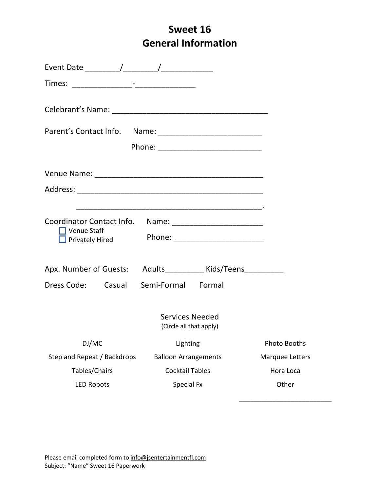## **Sweet 16 General Information**

| Venue Staff<br>القاب _<br>Privately Hired ! |                                                               |                 |
|---------------------------------------------|---------------------------------------------------------------|-----------------|
|                                             | Apx. Number of Guests: Adults___________ Kids/Teens__________ |                 |
| Dress Code: Casual Semi-Formal Formal       |                                                               |                 |
|                                             | Services Needed<br>(Circle all that apply)                    |                 |
| DJ/MC                                       | Lighting                                                      | Photo Booths    |
| Step and Repeat / Backdrops                 | <b>Balloon Arrangements</b>                                   | Marquee Letters |
| Tables/Chairs                               | <b>Cocktail Tables</b>                                        | Hora Loca       |
| <b>LED Robots</b>                           | Special Fx                                                    | Other           |

\_\_\_\_\_\_\_\_\_\_\_\_\_\_\_\_\_\_\_\_\_\_\_\_\_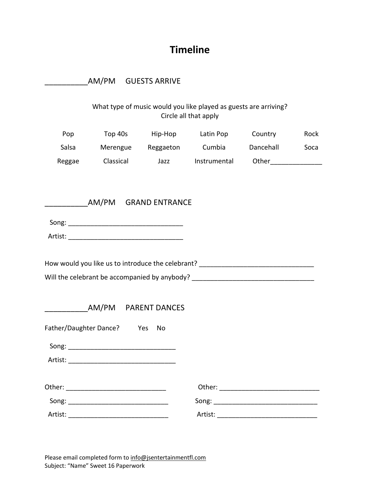## **Timeline**

|        | AM/PM GUESTS ARRIVE                                                                                                                                                                                                            |                                                                                                                                                                      |         |      |
|--------|--------------------------------------------------------------------------------------------------------------------------------------------------------------------------------------------------------------------------------|----------------------------------------------------------------------------------------------------------------------------------------------------------------------|---------|------|
|        |                                                                                                                                                                                                                                | What type of music would you like played as guests are arriving?<br>Circle all that apply                                                                            |         |      |
| Pop    |                                                                                                                                                                                                                                | Top 40s Hip-Hop Latin Pop                                                                                                                                            | Country | Rock |
| Salsa  |                                                                                                                                                                                                                                | Merengue Reggaeton Cumbia Dancehall                                                                                                                                  |         | Soca |
| Reggae |                                                                                                                                                                                                                                | Classical Jazz Instrumental Other                                                                                                                                    |         |      |
|        | AM/PM GRAND ENTRANCE                                                                                                                                                                                                           |                                                                                                                                                                      |         |      |
|        |                                                                                                                                                                                                                                |                                                                                                                                                                      |         |      |
|        |                                                                                                                                                                                                                                | How would you like us to introduce the celebrant? ______________________________<br>Will the celebrant be accompanied by anybody? __________________________________ |         |      |
|        | AM/PM PARENT DANCES                                                                                                                                                                                                            |                                                                                                                                                                      |         |      |
|        | Father/Daughter Dance? Yes No                                                                                                                                                                                                  |                                                                                                                                                                      |         |      |
|        | Song: the contract of the contract of the contract of the contract of the contract of the contract of the contract of the contract of the contract of the contract of the contract of the contract of the contract of the cont |                                                                                                                                                                      |         |      |
|        |                                                                                                                                                                                                                                |                                                                                                                                                                      |         |      |
|        |                                                                                                                                                                                                                                |                                                                                                                                                                      |         |      |
|        |                                                                                                                                                                                                                                |                                                                                                                                                                      |         |      |
|        |                                                                                                                                                                                                                                |                                                                                                                                                                      |         |      |

Please email completed form to info@jsentertainmentfl.com Subject: "Name" Sweet 16 Paperwork